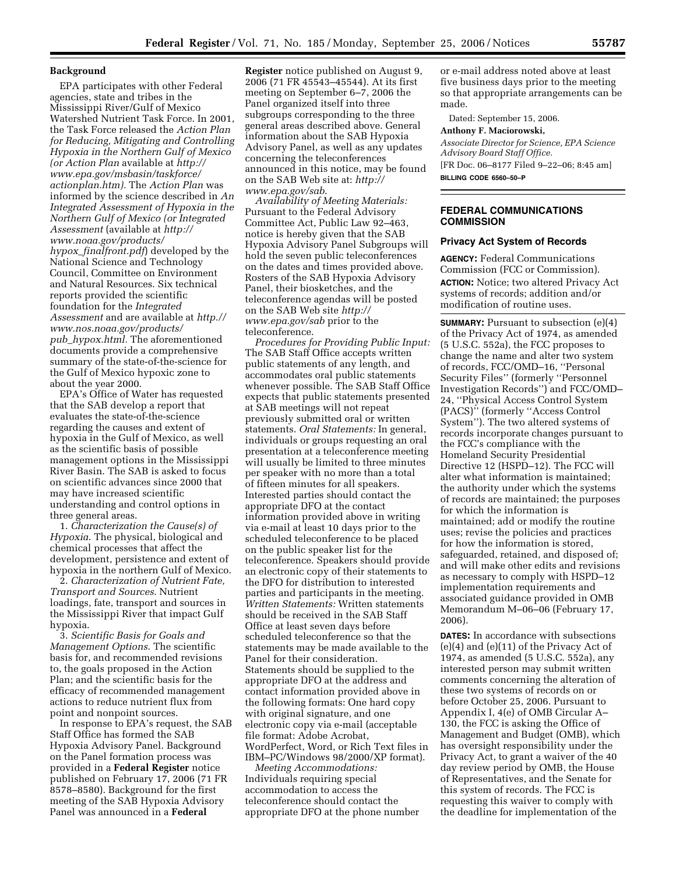# **Background**

EPA participates with other Federal agencies, state and tribes in the Mississippi River/Gulf of Mexico Watershed Nutrient Task Force. In 2001, the Task Force released the *Action Plan for Reducing, Mitigating and Controlling Hypoxia in the Northern Gulf of Mexico (or Action Plan* available at *http:// www.epa.gov/msbasin/taskforce/ actionplan.htm).* The *Action Plan* was informed by the science described in *An Integrated Assessment of Hypoxia in the Northern Gulf of Mexico (or Integrated Assessment* (available at *http:// www.noaa.gov/products/ hypox*\_*finalfront.pdf*) developed by the National Science and Technology Council, Committee on Environment and Natural Resources. Six technical reports provided the scientific foundation for the *Integrated Assessment* and are available at *http.// www.nos.noaa.gov/products/ pub*\_*hypox.html.* The aforementioned documents provide a comprehensive summary of the state-of-the-science for the Gulf of Mexico hypoxic zone to about the year 2000.

EPA's Office of Water has requested that the SAB develop a report that evaluates the state-of-the-science regarding the causes and extent of hypoxia in the Gulf of Mexico, as well as the scientific basis of possible management options in the Mississippi River Basin. The SAB is asked to focus on scientific advances since 2000 that may have increased scientific understanding and control options in three general areas.

1. *Characterization the Cause(s) of Hypoxia*. The physical, biological and chemical processes that affect the development, persistence and extent of hypoxia in the northern Gulf of Mexico.

2. *Characterization of Nutrient Fate, Transport and Sources*. Nutrient loadings, fate, transport and sources in the Mississippi River that impact Gulf hypoxia.

3. *Scientific Basis for Goals and Management Options*. The scientific basis for, and recommended revisions to, the goals proposed in the Action Plan; and the scientific basis for the efficacy of recommended management actions to reduce nutrient flux from point and nonpoint sources.

In response to EPA's request, the SAB Staff Office has formed the SAB Hypoxia Advisory Panel. Background on the Panel formation process was provided in a **Federal Register** notice published on February 17, 2006 (71 FR 8578–8580). Background for the first meeting of the SAB Hypoxia Advisory Panel was announced in a **Federal**

**Register** notice published on August 9, 2006 (71 FR 45543–45544). At its first meeting on September 6–7, 2006 the Panel organized itself into three subgroups corresponding to the three general areas described above. General information about the SAB Hypoxia Advisory Panel, as well as any updates concerning the teleconferences announced in this notice, may be found on the SAB Web site at: *http:// www.epa.gov/sab*.

*Availability of Meeting Materials:*  Pursuant to the Federal Advisory Committee Act, Public Law 92–463, notice is hereby given that the SAB Hypoxia Advisory Panel Subgroups will hold the seven public teleconferences on the dates and times provided above. Rosters of the SAB Hypoxia Advisory Panel, their biosketches, and the teleconference agendas will be posted on the SAB Web site *http:// www.epa.gov/sab* prior to the teleconference.

*Procedures for Providing Public Input:*  The SAB Staff Office accepts written public statements of any length, and accommodates oral public statements whenever possible. The SAB Staff Office expects that public statements presented at SAB meetings will not repeat previously submitted oral or written statements. *Oral Statements:* In general, individuals or groups requesting an oral presentation at a teleconference meeting will usually be limited to three minutes per speaker with no more than a total of fifteen minutes for all speakers. Interested parties should contact the appropriate DFO at the contact information provided above in writing via e-mail at least 10 days prior to the scheduled teleconference to be placed on the public speaker list for the teleconference. Speakers should provide an electronic copy of their statements to the DFO for distribution to interested parties and participants in the meeting. *Written Statements:* Written statements should be received in the SAB Staff Office at least seven days before scheduled teleconference so that the statements may be made available to the Panel for their consideration. Statements should be supplied to the appropriate DFO at the address and contact information provided above in the following formats: One hard copy with original signature, and one electronic copy via e-mail (acceptable file format: Adobe Acrobat, WordPerfect, Word, or Rich Text files in IBM–PC/Windows 98/2000/XP format).

*Meeting Accommodations:*  Individuals requiring special accommodation to access the teleconference should contact the appropriate DFO at the phone number or e-mail address noted above at least five business days prior to the meeting so that appropriate arrangements can be made.

Dated: September 15, 2006.

#### **Anthony F. Maciorowski,**

*Associate Director for Science, EPA Science Advisory Board Staff Office.*  [FR Doc. 06–8177 Filed 9–22–06; 8:45 am] **BILLING CODE 6560–50–P**

# **FEDERAL COMMUNICATIONS COMMISSION**

# **Privacy Act System of Records**

**AGENCY:** Federal Communications Commission (FCC or Commission). **ACTION:** Notice; two altered Privacy Act systems of records; addition and/or modification of routine uses.

**SUMMARY:** Pursuant to subsection (e)(4) of the Privacy Act of 1974, as amended (5 U.S.C. 552a), the FCC proposes to change the name and alter two system of records, FCC/OMD–16, ''Personal Security Files'' (formerly ''Personnel Investigation Records'') and FCC/OMD– 24, ''Physical Access Control System (PACS)'' (formerly ''Access Control System''). The two altered systems of records incorporate changes pursuant to the FCC's compliance with the Homeland Security Presidential Directive 12 (HSPD–12). The FCC will alter what information is maintained; the authority under which the systems of records are maintained; the purposes for which the information is maintained; add or modify the routine uses; revise the policies and practices for how the information is stored, safeguarded, retained, and disposed of; and will make other edits and revisions as necessary to comply with HSPD–12 implementation requirements and associated guidance provided in OMB Memorandum M–06–06 (February 17, 2006).

**DATES:** In accordance with subsections (e)(4) and (e)(11) of the Privacy Act of 1974, as amended (5 U.S.C. 552a), any interested person may submit written comments concerning the alteration of these two systems of records on or before October 25, 2006. Pursuant to Appendix I, 4(e) of OMB Circular A– 130, the FCC is asking the Office of Management and Budget (OMB), which has oversight responsibility under the Privacy Act, to grant a waiver of the 40 day review period by OMB, the House of Representatives, and the Senate for this system of records. The FCC is requesting this waiver to comply with the deadline for implementation of the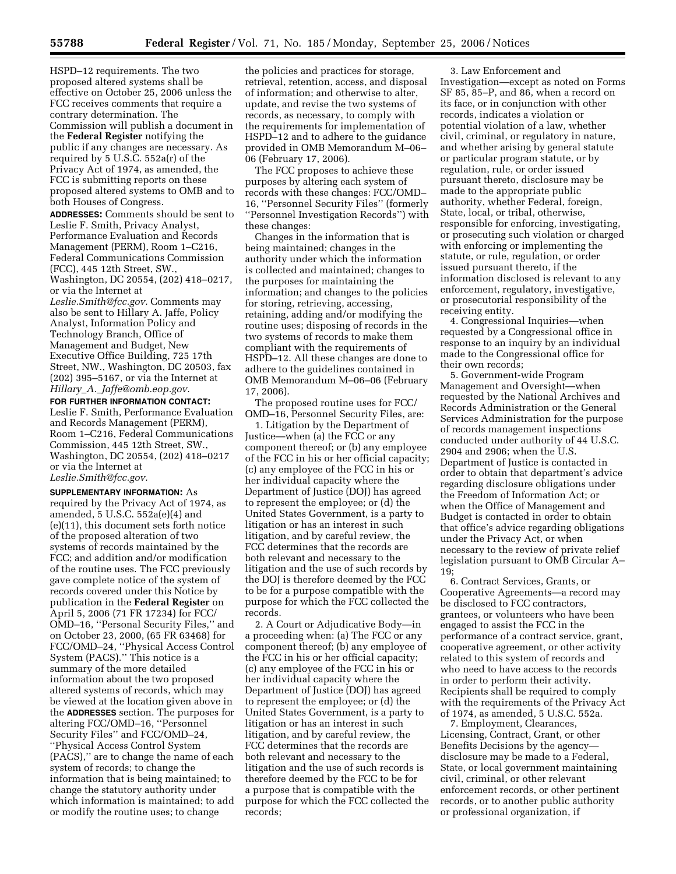HSPD–12 requirements. The two proposed altered systems shall be effective on October 25, 2006 unless the FCC receives comments that require a contrary determination. The Commission will publish a document in the **Federal Register** notifying the public if any changes are necessary. As required by 5 U.S.C. 552a(r) of the Privacy Act of 1974, as amended, the FCC is submitting reports on these proposed altered systems to OMB and to both Houses of Congress.

**ADDRESSES:** Comments should be sent to Leslie F. Smith, Privacy Analyst, Performance Evaluation and Records Management (PERM), Room 1–C216, Federal Communications Commission (FCC), 445 12th Street, SW., Washington, DC 20554, (202) 418–0217,

or via the Internet at *Leslie.Smith@fcc.gov.* Comments may also be sent to Hillary A. Jaffe, Policy Analyst, Information Policy and Technology Branch, Office of

Management and Budget, New Executive Office Building, 725 17th Street, NW., Washington, DC 20503, fax (202) 395–5167, or via the Internet at *Hillary*\_*A.*\_*Jaffe@omb.eop.gov.*

**FOR FURTHER INFORMATION CONTACT:** Leslie F. Smith, Performance Evaluation and Records Management (PERM), Room 1–C216, Federal Communications Commission, 445 12th Street, SW., Washington, DC 20554, (202) 418–0217 or via the Internet at *Leslie.Smith@fcc.gov.*

**SUPPLEMENTARY INFORMATION:** As required by the Privacy Act of 1974, as amended, 5 U.S.C. 552a(e)(4) and (e)(11), this document sets forth notice of the proposed alteration of two systems of records maintained by the FCC; and addition and/or modification of the routine uses. The FCC previously gave complete notice of the system of records covered under this Notice by publication in the **Federal Register** on April 5, 2006 (71 FR 17234) for FCC/ OMD–16, ''Personal Security Files,'' and on October 23, 2000, (65 FR 63468) for FCC/OMD–24, ''Physical Access Control System (PACS).'' This notice is a summary of the more detailed information about the two proposed altered systems of records, which may be viewed at the location given above in the **ADDRESSES** section. The purposes for altering FCC/OMD–16, ''Personnel Security Files'' and FCC/OMD–24, ''Physical Access Control System (PACS),'' are to change the name of each system of records; to change the information that is being maintained; to change the statutory authority under which information is maintained; to add or modify the routine uses; to change

the policies and practices for storage, retrieval, retention, access, and disposal of information; and otherwise to alter, update, and revise the two systems of records, as necessary, to comply with the requirements for implementation of HSPD–12 and to adhere to the guidance provided in OMB Memorandum M–06– 06 (February 17, 2006).

The FCC proposes to achieve these purposes by altering each system of records with these changes: FCC/OMD– 16, ''Personnel Security Files'' (formerly ''Personnel Investigation Records'') with these changes:

Changes in the information that is being maintained; changes in the authority under which the information is collected and maintained; changes to the purposes for maintaining the information; and changes to the policies for storing, retrieving, accessing, retaining, adding and/or modifying the routine uses; disposing of records in the two systems of records to make them compliant with the requirements of HSPD–12. All these changes are done to adhere to the guidelines contained in OMB Memorandum M–06–06 (February 17, 2006).

The proposed routine uses for FCC/ OMD–16, Personnel Security Files, are:

1. Litigation by the Department of Justice—when (a) the FCC or any component thereof; or (b) any employee of the FCC in his or her official capacity; (c) any employee of the FCC in his or her individual capacity where the Department of Justice (DOJ) has agreed to represent the employee; or (d) the United States Government, is a party to litigation or has an interest in such litigation, and by careful review, the FCC determines that the records are both relevant and necessary to the litigation and the use of such records by the DOJ is therefore deemed by the FCC to be for a purpose compatible with the purpose for which the FCC collected the records.

2. A Court or Adjudicative Body—in a proceeding when: (a) The FCC or any component thereof; (b) any employee of the FCC in his or her official capacity; (c) any employee of the FCC in his or her individual capacity where the Department of Justice (DOJ) has agreed to represent the employee; or (d) the United States Government, is a party to litigation or has an interest in such litigation, and by careful review, the FCC determines that the records are both relevant and necessary to the litigation and the use of such records is therefore deemed by the FCC to be for a purpose that is compatible with the purpose for which the FCC collected the records;

3. Law Enforcement and Investigation—except as noted on Forms SF 85, 85–P, and 86, when a record on its face, or in conjunction with other records, indicates a violation or potential violation of a law, whether civil, criminal, or regulatory in nature, and whether arising by general statute or particular program statute, or by regulation, rule, or order issued pursuant thereto, disclosure may be made to the appropriate public authority, whether Federal, foreign, State, local, or tribal, otherwise, responsible for enforcing, investigating, or prosecuting such violation or charged with enforcing or implementing the statute, or rule, regulation, or order issued pursuant thereto, if the information disclosed is relevant to any enforcement, regulatory, investigative, or prosecutorial responsibility of the receiving entity.

4. Congressional Inquiries—when requested by a Congressional office in response to an inquiry by an individual made to the Congressional office for their own records;

5. Government-wide Program Management and Oversight—when requested by the National Archives and Records Administration or the General Services Administration for the purpose of records management inspections conducted under authority of 44 U.S.C. 2904 and 2906; when the U.S. Department of Justice is contacted in order to obtain that department's advice regarding disclosure obligations under the Freedom of Information Act; or when the Office of Management and Budget is contacted in order to obtain that office's advice regarding obligations under the Privacy Act, or when necessary to the review of private relief legislation pursuant to OMB Circular A– 19;

6. Contract Services, Grants, or Cooperative Agreements—a record may be disclosed to FCC contractors, grantees, or volunteers who have been engaged to assist the FCC in the performance of a contract service, grant, cooperative agreement, or other activity related to this system of records and who need to have access to the records in order to perform their activity. Recipients shall be required to comply with the requirements of the Privacy Act of 1974, as amended, 5 U.S.C. 552a.

7. Employment, Clearances, Licensing, Contract, Grant, or other Benefits Decisions by the agency disclosure may be made to a Federal, State, or local government maintaining civil, criminal, or other relevant enforcement records, or other pertinent records, or to another public authority or professional organization, if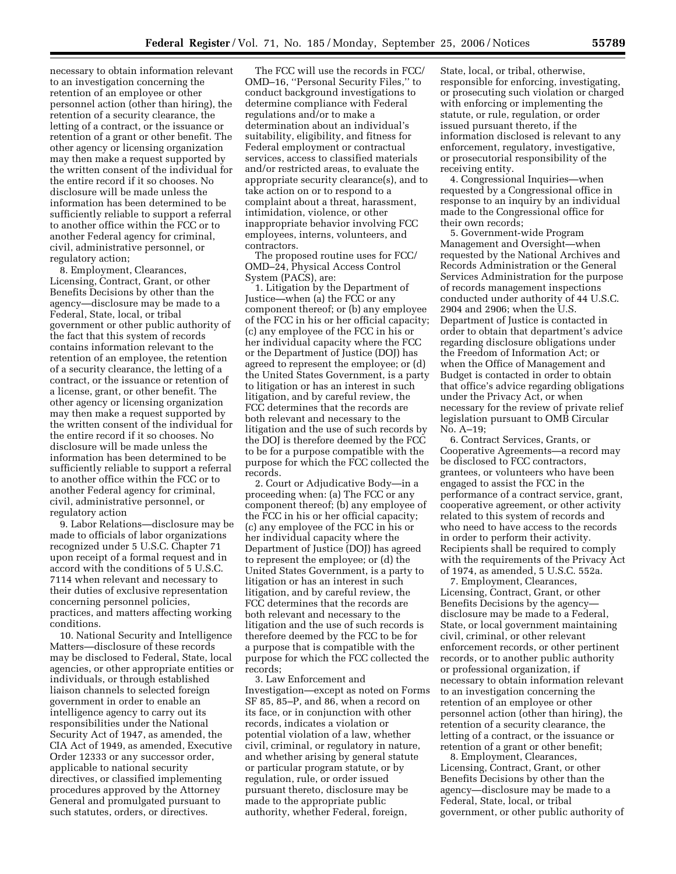necessary to obtain information relevant to an investigation concerning the retention of an employee or other personnel action (other than hiring), the retention of a security clearance, the letting of a contract, or the issuance or retention of a grant or other benefit. The other agency or licensing organization may then make a request supported by the written consent of the individual for the entire record if it so chooses. No disclosure will be made unless the information has been determined to be sufficiently reliable to support a referral to another office within the FCC or to another Federal agency for criminal, civil, administrative personnel, or regulatory action;

8. Employment, Clearances, Licensing, Contract, Grant, or other Benefits Decisions by other than the agency—disclosure may be made to a Federal, State, local, or tribal government or other public authority of the fact that this system of records contains information relevant to the retention of an employee, the retention of a security clearance, the letting of a contract, or the issuance or retention of a license, grant, or other benefit. The other agency or licensing organization may then make a request supported by the written consent of the individual for the entire record if it so chooses. No disclosure will be made unless the information has been determined to be sufficiently reliable to support a referral to another office within the FCC or to another Federal agency for criminal, civil, administrative personnel, or regulatory action

9. Labor Relations—disclosure may be made to officials of labor organizations recognized under 5 U.S.C. Chapter 71 upon receipt of a formal request and in accord with the conditions of 5 U.S.C. 7114 when relevant and necessary to their duties of exclusive representation concerning personnel policies, practices, and matters affecting working conditions.

10. National Security and Intelligence Matters—disclosure of these records may be disclosed to Federal, State, local agencies, or other appropriate entities or individuals, or through established liaison channels to selected foreign government in order to enable an intelligence agency to carry out its responsibilities under the National Security Act of 1947, as amended, the CIA Act of 1949, as amended, Executive Order 12333 or any successor order, applicable to national security directives, or classified implementing procedures approved by the Attorney General and promulgated pursuant to such statutes, orders, or directives.

The FCC will use the records in FCC/ OMD–16, ''Personal Security Files,'' to conduct background investigations to determine compliance with Federal regulations and/or to make a determination about an individual's suitability, eligibility, and fitness for Federal employment or contractual services, access to classified materials and/or restricted areas, to evaluate the appropriate security clearance(s), and to take action on or to respond to a complaint about a threat, harassment, intimidation, violence, or other inappropriate behavior involving FCC employees, interns, volunteers, and contractors.

The proposed routine uses for FCC/ OMD–24, Physical Access Control System (PACS), are:

1. Litigation by the Department of Justice—when (a) the FCC or any component thereof; or (b) any employee of the FCC in his or her official capacity; (c) any employee of the FCC in his or her individual capacity where the FCC or the Department of Justice (DOJ) has agreed to represent the employee; or (d) the United States Government, is a party to litigation or has an interest in such litigation, and by careful review, the FCC determines that the records are both relevant and necessary to the litigation and the use of such records by the DOJ is therefore deemed by the FCC to be for a purpose compatible with the purpose for which the FCC collected the records.

2. Court or Adjudicative Body—in a proceeding when: (a) The FCC or any component thereof; (b) any employee of the FCC in his or her official capacity; (c) any employee of the FCC in his or her individual capacity where the Department of Justice (DOJ) has agreed to represent the employee; or (d) the United States Government, is a party to litigation or has an interest in such litigation, and by careful review, the FCC determines that the records are both relevant and necessary to the litigation and the use of such records is therefore deemed by the FCC to be for a purpose that is compatible with the purpose for which the FCC collected the records;

3. Law Enforcement and Investigation—except as noted on Forms SF 85, 85–P, and 86, when a record on its face, or in conjunction with other records, indicates a violation or potential violation of a law, whether civil, criminal, or regulatory in nature, and whether arising by general statute or particular program statute, or by regulation, rule, or order issued pursuant thereto, disclosure may be made to the appropriate public authority, whether Federal, foreign,

State, local, or tribal, otherwise, responsible for enforcing, investigating, or prosecuting such violation or charged with enforcing or implementing the statute, or rule, regulation, or order issued pursuant thereto, if the information disclosed is relevant to any enforcement, regulatory, investigative, or prosecutorial responsibility of the receiving entity.

4. Congressional Inquiries—when requested by a Congressional office in response to an inquiry by an individual made to the Congressional office for their own records;

5. Government-wide Program Management and Oversight—when requested by the National Archives and Records Administration or the General Services Administration for the purpose of records management inspections conducted under authority of 44 U.S.C. 2904 and 2906; when the U.S. Department of Justice is contacted in order to obtain that department's advice regarding disclosure obligations under the Freedom of Information Act; or when the Office of Management and Budget is contacted in order to obtain that office's advice regarding obligations under the Privacy Act, or when necessary for the review of private relief legislation pursuant to OMB Circular No. A–19;

6. Contract Services, Grants, or Cooperative Agreements—a record may be disclosed to FCC contractors, grantees, or volunteers who have been engaged to assist the FCC in the performance of a contract service, grant, cooperative agreement, or other activity related to this system of records and who need to have access to the records in order to perform their activity. Recipients shall be required to comply with the requirements of the Privacy Act of 1974, as amended, 5 U.S.C. 552a.

7. Employment, Clearances, Licensing, Contract, Grant, or other Benefits Decisions by the agency disclosure may be made to a Federal, State, or local government maintaining civil, criminal, or other relevant enforcement records, or other pertinent records, or to another public authority or professional organization, if necessary to obtain information relevant to an investigation concerning the retention of an employee or other personnel action (other than hiring), the retention of a security clearance, the letting of a contract, or the issuance or retention of a grant or other benefit;

8. Employment, Clearances, Licensing, Contract, Grant, or other Benefits Decisions by other than the agency—disclosure may be made to a Federal, State, local, or tribal government, or other public authority of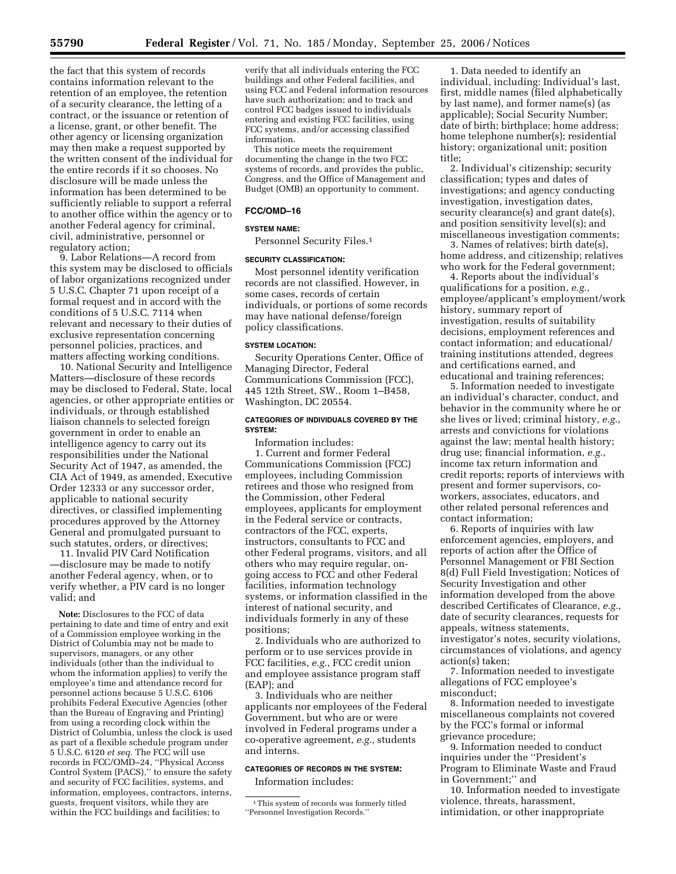the fact that this system of records contains information relevant to the retention of an employee, the retention of a security clearance, the letting of a contract, or the issuance or retention of a license, grant, or other benefit. The other agency or licensing organization may then make a request supported by the written consent of the individual for the entire records if it so chooses. No disclosure will be made unless the information has been determined to be sufficiently reliable to support a referral to another office within the agency or to another Federal agency for criminal, civil, administrative, personnel or regulatory action;

9. Labor Relations—A record from this system may be disclosed to officials of labor organizations recognized under 5 U.S.C. Chapter 71 upon receipt of a formal request and in accord with the conditions of 5 U.S.C. 7114 when relevant and necessary to their duties of exclusive representation concerning personnel policies, practices, and matters affecting working conditions.

10. National Security and Intelligence Matters—disclosure of these records may be disclosed to Federal, State, local agencies, or other appropriate entities or individuals, or through established liaison channels to selected foreign government in order to enable an intelligence agency to carry out its responsibilities under the National Security Act of 1947, as amended, the CIA Act of 1949, as amended, Executive Order 12333 or any successor order, applicable to national security directives, or classified implementing procedures approved by the Attorney General and promulgated pursuant to such statutes, orders, or directives;

11. Invalid PIV Card Notification —disclosure may be made to notify another Federal agency, when, or to verify whether, a PIV card is no longer valid; and

**Note:** Disclosures to the FCC of data pertaining to date and time of entry and exit of a Commission employee working in the District of Columbia may not be made to supervisors, managers, or any other individuals (other than the individual to whom the information applies) to verify the employee's time and attendance record for personnel actions because 5 U.S.C. 6106 prohibits Federal Executive Agencies (other than the Bureau of Engraving and Printing) from using a recording clock within the District of Columbia, unless the clock is used as part of a flexible schedule program under 5 U.S.C. 6120 *et seq.* The FCC will use records in FCC/OMD–24, ''Physical Access Control System (PACS),'' to ensure the safety and security of FCC facilities, systems, and information, employees, contractors, interns, guests, frequent visitors, while they are within the FCC buildings and facilities; to

verify that all individuals entering the FCC buildings and other Federal facilities, and using FCC and Federal information resources have such authorization; and to track and control FCC badges issued to individuals entering and existing FCC facilities, using FCC systems, and/or accessing classified information.

This notice meets the requirement documenting the change in the two FCC systems of records, and provides the public, Congress, and the Office of Management and Budget (OMB) an opportunity to comment.

# **FCC/OMD–16**

#### **SYSTEM NAME:**

Personnel Security Files.1

# **SECURITY CLASSIFICATION:**

Most personnel identity verification records are not classified. However, in some cases, records of certain individuals, or portions of some records may have national defense/foreign policy classifications.

# **SYSTEM LOCATION:**

Security Operations Center, Office of Managing Director, Federal Communications Commission (FCC), 445 12th Street, SW., Room 1–B458, Washington, DC 20554.

# **CATEGORIES OF INDIVIDUALS COVERED BY THE SYSTEM:**

Information includes: 1. Current and former Federal Communications Commission (FCC) employees, including Commission retirees and those who resigned from the Commission, other Federal employees, applicants for employment in the Federal service or contracts, contractors of the FCC, experts, instructors, consultants to FCC and other Federal programs, visitors, and all others who may require regular, ongoing access to FCC and other Federal facilities, information technology systems, or information classified in the interest of national security, and individuals formerly in any of these positions;

2. Individuals who are authorized to perform or to use services provide in FCC facilities, *e.g.*, FCC credit union and employee assistance program staff (EAP); and

3. Individuals who are neither applicants nor employees of the Federal Government, but who are or were involved in Federal programs under a co-operative agreement, *e.g.*, students and interns.

# **CATEGORIES OF RECORDS IN THE SYSTEM:**

Information includes:

1. Data needed to identify an individual, including: Individual's last, first, middle names (filed alphabetically by last name), and former name(s) (as applicable); Social Security Number; date of birth; birthplace; home address; home telephone number(s); residential history; organizational unit; position title;

2. Individual's citizenship; security classification; types and dates of investigations; and agency conducting investigation, investigation dates, security clearance(s) and grant date(s), and position sensitivity level(s); and miscellaneous investigation comments;

3. Names of relatives; birth date(s), home address, and citizenship; relatives who work for the Federal government;

4. Reports about the individual's qualifications for a position, *e.g.*, employee/applicant's employment/work history, summary report of investigation, results of suitability decisions, employment references and contact information; and educational/ training institutions attended, degrees and certifications earned, and educational and training references;

5. Information needed to investigate an individual's character, conduct, and behavior in the community where he or she lives or lived; criminal history, *e.g.*, arrests and convictions for violations against the law; mental health history; drug use; financial information, *e.g.*, income tax return information and credit reports; reports of interviews with present and former supervisors, coworkers, associates, educators, and other related personal references and contact information;

6. Reports of inquiries with law enforcement agencies, employers, and reports of action after the Office of Personnel Management or FBI Section 8(d) Full Field Investigation; Notices of Security Investigation and other information developed from the above described Certificates of Clearance, *e.g.*, date of security clearances, requests for appeals, witness statements, investigator's notes, security violations, circumstances of violations, and agency action(s) taken;

7. Information needed to investigate allegations of FCC employee's misconduct;

8. Information needed to investigate miscellaneous complaints not covered by the FCC's formal or informal grievance procedure;

9. Information needed to conduct inquiries under the ''President's Program to Eliminate Waste and Fraud in Government;'' and

10. Information needed to investigate violence, threats, harassment, intimidation, or other inappropriate

<sup>1</sup>This system of records was formerly titled ''Personnel Investigation Records.''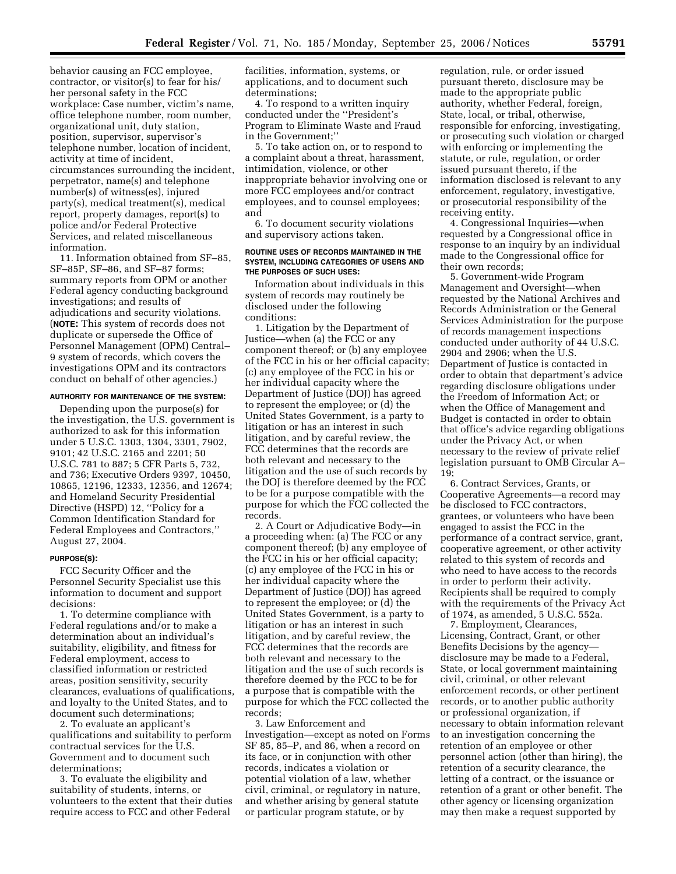behavior causing an FCC employee, contractor, or visitor(s) to fear for his/ her personal safety in the FCC workplace: Case number, victim's name, office telephone number, room number, organizational unit, duty station, position, supervisor, supervisor's telephone number, location of incident, activity at time of incident, circumstances surrounding the incident, perpetrator, name(s) and telephone number(s) of witness(es), injured party(s), medical treatment(s), medical report, property damages, report(s) to police and/or Federal Protective Services, and related miscellaneous information.

11. Information obtained from SF–85, SF–85P, SF–86, and SF–87 forms; summary reports from OPM or another Federal agency conducting background investigations; and results of adjudications and security violations. (**NOTE:** This system of records does not duplicate or supersede the Office of Personnel Management (OPM) Central– 9 system of records, which covers the investigations OPM and its contractors conduct on behalf of other agencies.)

# **AUTHORITY FOR MAINTENANCE OF THE SYSTEM:**

Depending upon the purpose(s) for the investigation, the U.S. government is authorized to ask for this information under 5 U.S.C. 1303, 1304, 3301, 7902, 9101; 42 U.S.C. 2165 and 2201; 50 U.S.C. 781 to 887; 5 CFR Parts 5, 732, and 736; Executive Orders 9397, 10450, 10865, 12196, 12333, 12356, and 12674; and Homeland Security Presidential Directive (HSPD) 12, ''Policy for a Common Identification Standard for Federal Employees and Contractors,'' August 27, 2004.

#### **PURPOSE(S):**

FCC Security Officer and the Personnel Security Specialist use this information to document and support decisions:

1. To determine compliance with Federal regulations and/or to make a determination about an individual's suitability, eligibility, and fitness for Federal employment, access to classified information or restricted areas, position sensitivity, security clearances, evaluations of qualifications, and loyalty to the United States, and to document such determinations;

2. To evaluate an applicant's qualifications and suitability to perform contractual services for the U.S. Government and to document such determinations;

3. To evaluate the eligibility and suitability of students, interns, or volunteers to the extent that their duties require access to FCC and other Federal

facilities, information, systems, or applications, and to document such determinations;

4. To respond to a written inquiry conducted under the ''President's Program to Eliminate Waste and Fraud in the Government;''

5. To take action on, or to respond to a complaint about a threat, harassment, intimidation, violence, or other inappropriate behavior involving one or more FCC employees and/or contract employees, and to counsel employees; and

6. To document security violations and supervisory actions taken.

#### **ROUTINE USES OF RECORDS MAINTAINED IN THE SYSTEM, INCLUDING CATEGORIES OF USERS AND THE PURPOSES OF SUCH USES:**

Information about individuals in this system of records may routinely be disclosed under the following conditions:

1. Litigation by the Department of Justice—when (a) the FCC or any component thereof; or (b) any employee of the FCC in his or her official capacity; (c) any employee of the FCC in his or her individual capacity where the Department of Justice (DOJ) has agreed to represent the employee; or (d) the United States Government, is a party to litigation or has an interest in such litigation, and by careful review, the FCC determines that the records are both relevant and necessary to the litigation and the use of such records by the DOJ is therefore deemed by the FCC to be for a purpose compatible with the purpose for which the FCC collected the records.

2. A Court or Adjudicative Body—in a proceeding when: (a) The FCC or any component thereof; (b) any employee of the FCC in his or her official capacity; (c) any employee of the FCC in his or her individual capacity where the Department of Justice (DOJ) has agreed to represent the employee; or (d) the United States Government, is a party to litigation or has an interest in such litigation, and by careful review, the FCC determines that the records are both relevant and necessary to the litigation and the use of such records is therefore deemed by the FCC to be for a purpose that is compatible with the purpose for which the FCC collected the records;

3. Law Enforcement and Investigation—except as noted on Forms SF 85, 85–P, and 86, when a record on its face, or in conjunction with other records, indicates a violation or potential violation of a law, whether civil, criminal, or regulatory in nature, and whether arising by general statute or particular program statute, or by

regulation, rule, or order issued pursuant thereto, disclosure may be made to the appropriate public authority, whether Federal, foreign, State, local, or tribal, otherwise, responsible for enforcing, investigating, or prosecuting such violation or charged with enforcing or implementing the statute, or rule, regulation, or order issued pursuant thereto, if the information disclosed is relevant to any enforcement, regulatory, investigative, or prosecutorial responsibility of the receiving entity.

4. Congressional Inquiries—when requested by a Congressional office in response to an inquiry by an individual made to the Congressional office for their own records;

5. Government-wide Program Management and Oversight—when requested by the National Archives and Records Administration or the General Services Administration for the purpose of records management inspections conducted under authority of 44 U.S.C. 2904 and 2906; when the U.S. Department of Justice is contacted in order to obtain that department's advice regarding disclosure obligations under the Freedom of Information Act; or when the Office of Management and Budget is contacted in order to obtain that office's advice regarding obligations under the Privacy Act, or when necessary to the review of private relief legislation pursuant to OMB Circular A– 19;

6. Contract Services, Grants, or Cooperative Agreements—a record may be disclosed to FCC contractors, grantees, or volunteers who have been engaged to assist the FCC in the performance of a contract service, grant, cooperative agreement, or other activity related to this system of records and who need to have access to the records in order to perform their activity. Recipients shall be required to comply with the requirements of the Privacy Act of 1974, as amended, 5 U.S.C. 552a.

7. Employment, Clearances, Licensing, Contract, Grant, or other Benefits Decisions by the agency disclosure may be made to a Federal, State, or local government maintaining civil, criminal, or other relevant enforcement records, or other pertinent records, or to another public authority or professional organization, if necessary to obtain information relevant to an investigation concerning the retention of an employee or other personnel action (other than hiring), the retention of a security clearance, the letting of a contract, or the issuance or retention of a grant or other benefit. The other agency or licensing organization may then make a request supported by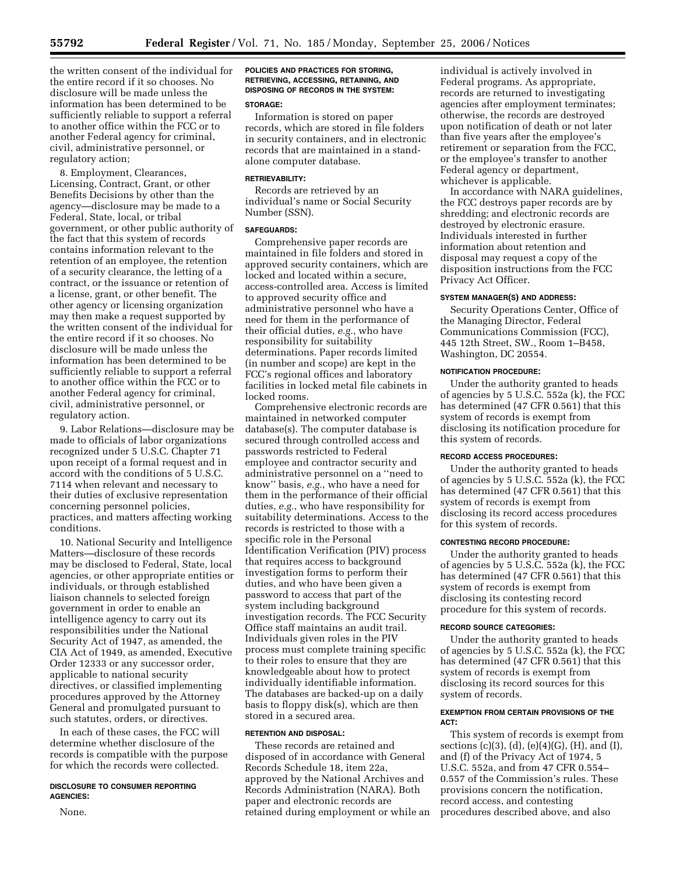the written consent of the individual for the entire record if it so chooses. No disclosure will be made unless the information has been determined to be sufficiently reliable to support a referral to another office within the FCC or to another Federal agency for criminal, civil, administrative personnel, or regulatory action;

8. Employment, Clearances, Licensing, Contract, Grant, or other Benefits Decisions by other than the agency—disclosure may be made to a Federal, State, local, or tribal government, or other public authority of the fact that this system of records contains information relevant to the retention of an employee, the retention of a security clearance, the letting of a contract, or the issuance or retention of a license, grant, or other benefit. The other agency or licensing organization may then make a request supported by the written consent of the individual for the entire record if it so chooses. No disclosure will be made unless the information has been determined to be sufficiently reliable to support a referral to another office within the FCC or to another Federal agency for criminal, civil, administrative personnel, or regulatory action.

9. Labor Relations—disclosure may be made to officials of labor organizations recognized under 5 U.S.C. Chapter 71 upon receipt of a formal request and in accord with the conditions of 5 U.S.C. 7114 when relevant and necessary to their duties of exclusive representation concerning personnel policies, practices, and matters affecting working conditions.

10. National Security and Intelligence Matters—disclosure of these records may be disclosed to Federal, State, local agencies, or other appropriate entities or individuals, or through established liaison channels to selected foreign government in order to enable an intelligence agency to carry out its responsibilities under the National Security Act of 1947, as amended, the CIA Act of 1949, as amended, Executive Order 12333 or any successor order, applicable to national security directives, or classified implementing procedures approved by the Attorney General and promulgated pursuant to such statutes, orders, or directives.

In each of these cases, the FCC will determine whether disclosure of the records is compatible with the purpose for which the records were collected.

# **DISCLOSURE TO CONSUMER REPORTING AGENCIES:**

None.

# **POLICIES AND PRACTICES FOR STORING, RETRIEVING, ACCESSING, RETAINING, AND DISPOSING OF RECORDS IN THE SYSTEM:**

# **STORAGE:**

Information is stored on paper records, which are stored in file folders in security containers, and in electronic records that are maintained in a standalone computer database.

# **RETRIEVABILITY:**

Records are retrieved by an individual's name or Social Security Number (SSN).

# **SAFEGUARDS:**

Comprehensive paper records are maintained in file folders and stored in approved security containers, which are locked and located within a secure, access-controlled area. Access is limited to approved security office and administrative personnel who have a need for them in the performance of their official duties, *e.g.*, who have responsibility for suitability determinations. Paper records limited (in number and scope) are kept in the FCC's regional offices and laboratory facilities in locked metal file cabinets in locked rooms.

Comprehensive electronic records are maintained in networked computer database(s). The computer database is secured through controlled access and passwords restricted to Federal employee and contractor security and administrative personnel on a ''need to know'' basis, *e.g.*, who have a need for them in the performance of their official duties, *e.g.*, who have responsibility for suitability determinations. Access to the records is restricted to those with a specific role in the Personal Identification Verification (PIV) process that requires access to background investigation forms to perform their duties, and who have been given a password to access that part of the system including background investigation records. The FCC Security Office staff maintains an audit trail. Individuals given roles in the PIV process must complete training specific to their roles to ensure that they are knowledgeable about how to protect individually identifiable information. The databases are backed-up on a daily basis to floppy disk(s), which are then stored in a secured area.

# **RETENTION AND DISPOSAL:**

These records are retained and disposed of in accordance with General Records Schedule 18, item 22a, approved by the National Archives and Records Administration (NARA). Both paper and electronic records are retained during employment or while an

individual is actively involved in Federal programs. As appropriate, records are returned to investigating agencies after employment terminates; otherwise, the records are destroyed upon notification of death or not later than five years after the employee's retirement or separation from the FCC, or the employee's transfer to another Federal agency or department, whichever is applicable.

In accordance with NARA guidelines, the FCC destroys paper records are by shredding; and electronic records are destroyed by electronic erasure. Individuals interested in further information about retention and disposal may request a copy of the disposition instructions from the FCC Privacy Act Officer.

# **SYSTEM MANAGER(S) AND ADDRESS:**

Security Operations Center, Office of the Managing Director, Federal Communications Commission (FCC), 445 12th Street, SW., Room 1–B458, Washington, DC 20554.

#### **NOTIFICATION PROCEDURE:**

Under the authority granted to heads of agencies by 5 U.S.C. 552a (k), the FCC has determined (47 CFR 0.561) that this system of records is exempt from disclosing its notification procedure for this system of records.

#### **RECORD ACCESS PROCEDURES:**

Under the authority granted to heads of agencies by 5 U.S.C. 552a (k), the FCC has determined (47 CFR 0.561) that this system of records is exempt from disclosing its record access procedures for this system of records.

### **CONTESTING RECORD PROCEDURE:**

Under the authority granted to heads of agencies by 5 U.S.C. 552a (k), the FCC has determined (47 CFR 0.561) that this system of records is exempt from disclosing its contesting record procedure for this system of records.

#### **RECORD SOURCE CATEGORIES:**

Under the authority granted to heads of agencies by 5 U.S.C. 552a (k), the FCC has determined (47 CFR 0.561) that this system of records is exempt from disclosing its record sources for this system of records.

#### **EXEMPTION FROM CERTAIN PROVISIONS OF THE ACT:**

This system of records is exempt from sections (c)(3), (d), (e)(4)(G), (H), and (I), and (f) of the Privacy Act of 1974, 5 U.S.C. 552a, and from 47 CFR 0.554– 0.557 of the Commission's rules. These provisions concern the notification, record access, and contesting procedures described above, and also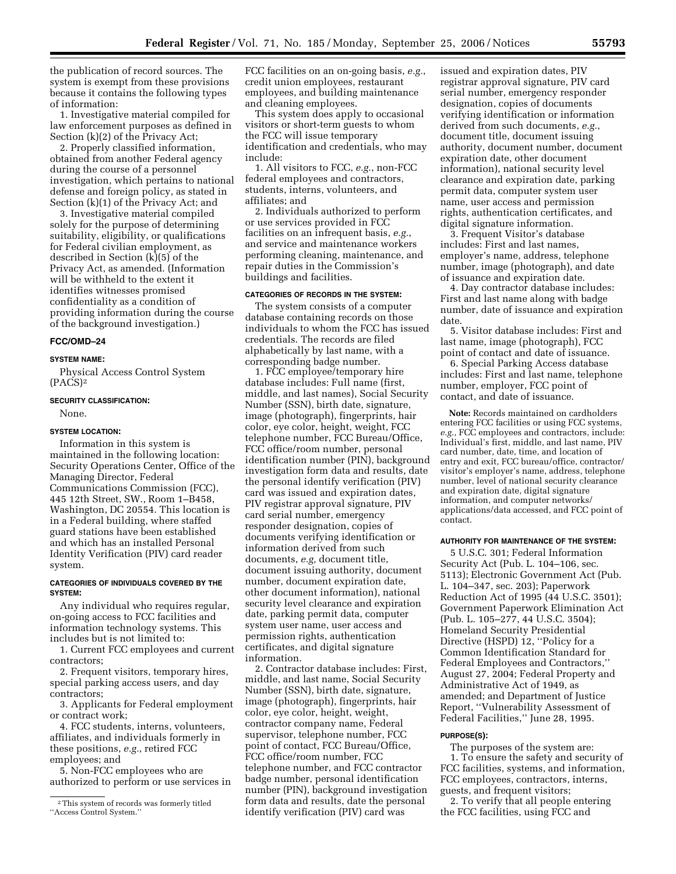the publication of record sources. The system is exempt from these provisions because it contains the following types of information:

1. Investigative material compiled for law enforcement purposes as defined in Section (k)(2) of the Privacy Act;

2. Properly classified information, obtained from another Federal agency during the course of a personnel investigation, which pertains to national defense and foreign policy, as stated in Section (k)(1) of the Privacy Act; and

3. Investigative material compiled solely for the purpose of determining suitability, eligibility, or qualifications for Federal civilian employment, as described in Section (k)(5) of the Privacy Act, as amended. (Information will be withheld to the extent it identifies witnesses promised confidentiality as a condition of providing information during the course of the background investigation.)

# **FCC/OMD–24**

#### **SYSTEM NAME:**

Physical Access Control System (PACS)2

# **SECURITY CLASSIFICATION:**

None.

# **SYSTEM LOCATION:**

Information in this system is maintained in the following location: Security Operations Center, Office of the Managing Director, Federal Communications Commission (FCC), 445 12th Street, SW., Room 1–B458, Washington, DC 20554. This location is in a Federal building, where staffed guard stations have been established and which has an installed Personal Identity Verification (PIV) card reader system.

# **CATEGORIES OF INDIVIDUALS COVERED BY THE SYSTEM:**

Any individual who requires regular, on-going access to FCC facilities and information technology systems. This includes but is not limited to:

1. Current FCC employees and current contractors;

2. Frequent visitors, temporary hires, special parking access users, and day contractors;

3. Applicants for Federal employment or contract work;

4. FCC students, interns, volunteers, affiliates, and individuals formerly in these positions, *e.g.*, retired FCC employees; and

5. Non-FCC employees who are authorized to perform or use services in

FCC facilities on an on-going basis, *e.g.*, credit union employees, restaurant employees, and building maintenance and cleaning employees.

This system does apply to occasional visitors or short-term guests to whom the FCC will issue temporary identification and credentials, who may include:

1. All visitors to FCC, *e.g.*, non-FCC federal employees and contractors, students, interns, volunteers, and affiliates; and

2. Individuals authorized to perform or use services provided in FCC facilities on an infrequent basis, *e.g.*, and service and maintenance workers performing cleaning, maintenance, and repair duties in the Commission's buildings and facilities.

# **CATEGORIES OF RECORDS IN THE SYSTEM:**

The system consists of a computer database containing records on those individuals to whom the FCC has issued credentials. The records are filed alphabetically by last name, with a corresponding badge number.

1. FCC employee/temporary hire database includes: Full name (first, middle, and last names), Social Security Number (SSN), birth date, signature, image (photograph), fingerprints, hair color, eye color, height, weight, FCC telephone number, FCC Bureau/Office, FCC office/room number, personal identification number (PIN), background investigation form data and results, date the personal identify verification (PIV) card was issued and expiration dates, PIV registrar approval signature, PIV card serial number, emergency responder designation, copies of documents verifying identification or information derived from such documents, *e.g,* document title, document issuing authority, document number, document expiration date, other document information), national security level clearance and expiration date, parking permit data, computer system user name, user access and permission rights, authentication certificates, and digital signature information.

2. Contractor database includes: First, middle, and last name, Social Security Number (SSN), birth date, signature, image (photograph), fingerprints, hair color, eye color, height, weight, contractor company name, Federal supervisor, telephone number, FCC point of contact, FCC Bureau/Office, FCC office/room number, FCC telephone number, and FCC contractor badge number, personal identification number (PIN), background investigation form data and results, date the personal identify verification (PIV) card was

issued and expiration dates, PIV registrar approval signature, PIV card serial number, emergency responder designation, copies of documents verifying identification or information derived from such documents, *e.g.*, document title, document issuing authority, document number, document expiration date, other document information), national security level clearance and expiration date, parking permit data, computer system user name, user access and permission rights, authentication certificates, and digital signature information.

3. Frequent Visitor's database includes: First and last names, employer's name, address, telephone number, image (photograph), and date of issuance and expiration date.

4. Day contractor database includes: First and last name along with badge number, date of issuance and expiration date.

5. Visitor database includes: First and last name, image (photograph), FCC point of contact and date of issuance.

6. Special Parking Access database includes: First and last name, telephone number, employer, FCC point of contact, and date of issuance.

**Note:** Records maintained on cardholders entering FCC facilities or using FCC systems, *e.g.*, FCC employees and contractors, include: Individual's first, middle, and last name, PIV card number, date, time, and location of entry and exit, FCC bureau/office, contractor/ visitor's employer's name, address, telephone number, level of national security clearance and expiration date, digital signature information, and computer networks/ applications/data accessed, and FCC point of contact.

#### **AUTHORITY FOR MAINTENANCE OF THE SYSTEM:**

5 U.S.C. 301; Federal Information Security Act (Pub. L. 104–106, sec. 5113); Electronic Government Act (Pub. L. 104–347, sec. 203); Paperwork Reduction Act of 1995 (44 U.S.C. 3501); Government Paperwork Elimination Act (Pub. L. 105–277, 44 U.S.C. 3504); Homeland Security Presidential Directive (HSPD) 12, ''Policy for a Common Identification Standard for Federal Employees and Contractors,'' August 27, 2004; Federal Property and Administrative Act of 1949, as amended; and Department of Justice Report, ''Vulnerability Assessment of Federal Facilities,'' June 28, 1995.

#### **PURPOSE(S):**

The purposes of the system are: 1. To ensure the safety and security of FCC facilities, systems, and information, FCC employees, contractors, interns, guests, and frequent visitors;

2. To verify that all people entering the FCC facilities, using FCC and

<sup>2</sup>This system of records was formerly titled ''Access Control System.''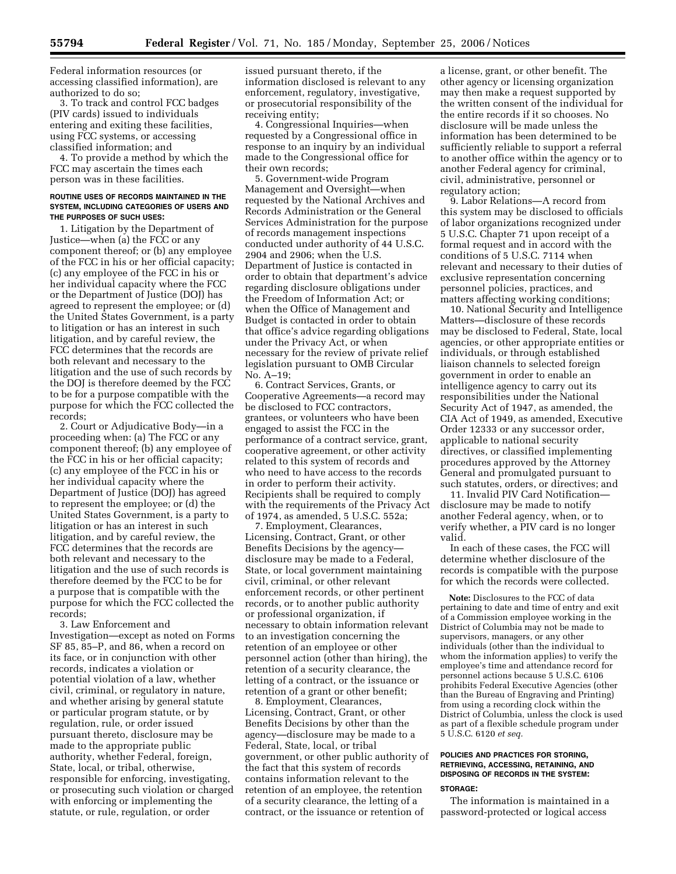Federal information resources (or accessing classified information), are authorized to do so;

3. To track and control FCC badges (PIV cards) issued to individuals entering and exiting these facilities, using FCC systems, or accessing classified information; and

4. To provide a method by which the FCC may ascertain the times each person was in these facilities.

# **ROUTINE USES OF RECORDS MAINTAINED IN THE SYSTEM, INCLUDING CATEGORIES OF USERS AND THE PURPOSES OF SUCH USES:**

1. Litigation by the Department of Justice—when (a) the FCC or any component thereof; or (b) any employee of the FCC in his or her official capacity; (c) any employee of the FCC in his or her individual capacity where the FCC or the Department of Justice (DOJ) has agreed to represent the employee; or (d) the United States Government, is a party to litigation or has an interest in such litigation, and by careful review, the FCC determines that the records are both relevant and necessary to the litigation and the use of such records by the DOJ is therefore deemed by the FCC to be for a purpose compatible with the purpose for which the FCC collected the records;

2. Court or Adjudicative Body—in a proceeding when: (a) The FCC or any component thereof; (b) any employee of the FCC in his or her official capacity; (c) any employee of the FCC in his or her individual capacity where the Department of Justice (DOJ) has agreed to represent the employee; or (d) the United States Government, is a party to litigation or has an interest in such litigation, and by careful review, the FCC determines that the records are both relevant and necessary to the litigation and the use of such records is therefore deemed by the FCC to be for a purpose that is compatible with the purpose for which the FCC collected the records;

3. Law Enforcement and Investigation—except as noted on Forms SF 85, 85–P, and 86, when a record on its face, or in conjunction with other records, indicates a violation or potential violation of a law, whether civil, criminal, or regulatory in nature, and whether arising by general statute or particular program statute, or by regulation, rule, or order issued pursuant thereto, disclosure may be made to the appropriate public authority, whether Federal, foreign, State, local, or tribal, otherwise, responsible for enforcing, investigating, or prosecuting such violation or charged with enforcing or implementing the statute, or rule, regulation, or order

issued pursuant thereto, if the information disclosed is relevant to any enforcement, regulatory, investigative, or prosecutorial responsibility of the receiving entity;

4. Congressional Inquiries—when requested by a Congressional office in response to an inquiry by an individual made to the Congressional office for their own records;

5. Government-wide Program Management and Oversight—when requested by the National Archives and Records Administration or the General Services Administration for the purpose of records management inspections conducted under authority of 44 U.S.C. 2904 and 2906; when the U.S. Department of Justice is contacted in order to obtain that department's advice regarding disclosure obligations under the Freedom of Information Act; or when the Office of Management and Budget is contacted in order to obtain that office's advice regarding obligations under the Privacy Act, or when necessary for the review of private relief legislation pursuant to OMB Circular No. A–19;

6. Contract Services, Grants, or Cooperative Agreements—a record may be disclosed to FCC contractors, grantees, or volunteers who have been engaged to assist the FCC in the performance of a contract service, grant, cooperative agreement, or other activity related to this system of records and who need to have access to the records in order to perform their activity. Recipients shall be required to comply with the requirements of the Privacy Act of 1974, as amended, 5 U.S.C. 552a;

7. Employment, Clearances, Licensing, Contract, Grant, or other Benefits Decisions by the agency disclosure may be made to a Federal, State, or local government maintaining civil, criminal, or other relevant enforcement records, or other pertinent records, or to another public authority or professional organization, if necessary to obtain information relevant to an investigation concerning the retention of an employee or other personnel action (other than hiring), the retention of a security clearance, the letting of a contract, or the issuance or retention of a grant or other benefit;

8. Employment, Clearances, Licensing, Contract, Grant, or other Benefits Decisions by other than the agency—disclosure may be made to a Federal, State, local, or tribal government, or other public authority of the fact that this system of records contains information relevant to the retention of an employee, the retention of a security clearance, the letting of a contract, or the issuance or retention of

a license, grant, or other benefit. The other agency or licensing organization may then make a request supported by the written consent of the individual for the entire records if it so chooses. No disclosure will be made unless the information has been determined to be sufficiently reliable to support a referral to another office within the agency or to another Federal agency for criminal, civil, administrative, personnel or regulatory action;

9. Labor Relations—A record from this system may be disclosed to officials of labor organizations recognized under 5 U.S.C. Chapter 71 upon receipt of a formal request and in accord with the conditions of 5 U.S.C. 7114 when relevant and necessary to their duties of exclusive representation concerning personnel policies, practices, and matters affecting working conditions;

10. National Security and Intelligence Matters—disclosure of these records may be disclosed to Federal, State, local agencies, or other appropriate entities or individuals, or through established liaison channels to selected foreign government in order to enable an intelligence agency to carry out its responsibilities under the National Security Act of 1947, as amended, the CIA Act of 1949, as amended, Executive Order 12333 or any successor order, applicable to national security directives, or classified implementing procedures approved by the Attorney General and promulgated pursuant to such statutes, orders, or directives; and

11. Invalid PIV Card Notification disclosure may be made to notify another Federal agency, when, or to verify whether, a PIV card is no longer valid.

In each of these cases, the FCC will determine whether disclosure of the records is compatible with the purpose for which the records were collected.

**Note:** Disclosures to the FCC of data pertaining to date and time of entry and exit of a Commission employee working in the District of Columbia may not be made to supervisors, managers, or any other individuals (other than the individual to whom the information applies) to verify the employee's time and attendance record for personnel actions because 5 U.S.C. 6106 prohibits Federal Executive Agencies (other than the Bureau of Engraving and Printing) from using a recording clock within the District of Columbia, unless the clock is used as part of a flexible schedule program under 5 U.S.C. 6120 *et seq.* 

#### **POLICIES AND PRACTICES FOR STORING, RETRIEVING, ACCESSING, RETAINING, AND DISPOSING OF RECORDS IN THE SYSTEM:**

#### **STORAGE:**

The information is maintained in a password-protected or logical access